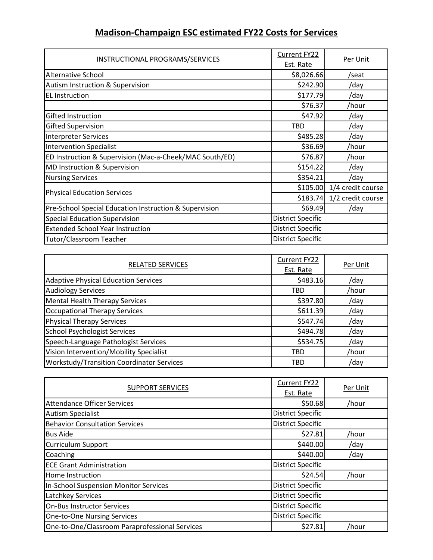## Madison-Champaign ESC estimated FY22 Costs for Services

| INSTRUCTIONAL PROGRAMS/SERVICES                         | Current FY22<br>Est. Rate | Per Unit          |
|---------------------------------------------------------|---------------------------|-------------------|
| Alternative School                                      | \$8,026.66                | /seat             |
| Autism Instruction & Supervision                        | \$242.90                  | /day              |
| <b>EL Instruction</b>                                   | \$177.79                  | /day              |
|                                                         | \$76.37                   | /hour             |
| Gifted Instruction                                      | \$47.92                   | /day              |
| Gifted Supervision                                      | <b>TBD</b>                | /day              |
| <b>Interpreter Services</b>                             | \$485.28                  | /day              |
| <b>Intervention Specialist</b>                          | \$36.69                   | /hour             |
| ED Instruction & Supervision (Mac-a-Cheek/MAC South/ED) | \$76.87                   | /hour             |
| MD Instruction & Supervision                            | \$154.22                  | /day              |
| <b>Nursing Services</b>                                 | \$354.21                  | /day              |
| <b>Physical Education Services</b>                      | \$105.00                  | 1/4 credit course |
|                                                         | \$183.74                  | 1/2 credit course |
| Pre-School Special Education Instruction & Supervision  | \$69.49                   | /day              |
| <b>Special Education Supervision</b>                    | <b>District Specific</b>  |                   |
| <b>Extended School Year Instruction</b>                 | <b>District Specific</b>  |                   |
| Tutor/Classroom Teacher                                 | <b>District Specific</b>  |                   |

| <b>RELATED SERVICES</b>                          | Current FY22 | Per Unit |
|--------------------------------------------------|--------------|----------|
|                                                  | Est. Rate    |          |
| <b>Adaptive Physical Education Services</b>      | \$483.16     | /day     |
| <b>Audiology Services</b>                        | TBD          | /hour    |
| <b>Mental Health Therapy Services</b>            | \$397.80     | /day     |
| <b>Occupational Therapy Services</b>             | \$611.39     | /day     |
| <b>Physical Therapy Services</b>                 | \$547.74     | /day     |
| <b>School Psychologist Services</b>              | \$494.78     | /day     |
| Speech-Language Pathologist Services             | \$534.75     | /day     |
| Vision Intervention/Mobility Specialist          | <b>TBD</b>   | /hour    |
| <b>Workstudy/Transition Coordinator Services</b> | TBD          | /day     |

| <b>SUPPORT SERVICES</b>                        | Current FY22             | Per Unit |
|------------------------------------------------|--------------------------|----------|
|                                                | Est. Rate                |          |
| <b>Attendance Officer Services</b>             | \$50.68                  | /hour    |
| <b>Autism Specialist</b>                       | <b>District Specific</b> |          |
| <b>Behavior Consultation Services</b>          | <b>District Specific</b> |          |
| <b>Bus Aide</b>                                | \$27.81                  | /hour    |
| Curriculum Support                             | \$440.00                 | /day     |
| Coaching                                       | \$440.00                 | /day     |
| <b>ECE Grant Administration</b>                | <b>District Specific</b> |          |
| Home Instruction                               | \$24.54                  | /hour    |
| In-School Suspension Monitor Services          | <b>District Specific</b> |          |
| Latchkey Services                              | <b>District Specific</b> |          |
| <b>On-Bus Instructor Services</b>              | <b>District Specific</b> |          |
| <b>One-to-One Nursing Services</b>             | <b>District Specific</b> |          |
| One-to-One/Classroom Paraprofessional Services | \$27.81                  | /hour    |